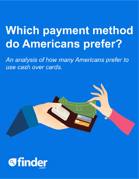# Which payment method do Americans prefer?

An analysis of how many Americans prefer to use cash over cards.

**@finder**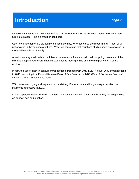### **Introduction**

It's said that cash is king. But even before COVID-19 threatened its very use, many Americans were turning to plastic — be it a credit or debit card.

Cash is cumbersome. It's old-fashioned. It's also dirty. Whereas cards are modern and — best of all not covered in the bacteria of others. (Why use something that countless studies show are covered in the fecal bacteria of others?)

A major mark against cash is the Internet, where more Americans do their shopping, take care of their bills and get paid. Our entire financial existence is moving online and into a digital world. Cash is analog.

In fact, the use of cash in consumer transactions dropped from 30% in 2017 to just 26% of transactions in 2018, according to a Federal Reserve Bank of San Francisco's *2019 Diary of Consumer Payment Choice*. That trend continues today.

With consumer buying and payment habits shifting, Finder's data and insights expert studied the payments landscape in 2020.

In this paper, we detail preferred payment methods for American adults and how they vary depending on gender, age and location.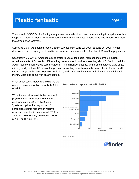The spread of COVID-19 is forcing many Americans to hunker down, in turn leading to a spike in online shopping. A recent Adobe Analytics report shows that online sales in June 2020 had jumped 76% from the same period last year.

Surveying 2,001 US adults through Google Surveys from June 22, 2020, to June 26, 2020, Finder discovered that using a type of card is the preferred payment method for almost 70% of the population.

Specifically, 36.07% of American adults prefer to use a debit card, representing some 92 million American adults. A further 24.11% say they prefer a credit card, representing about 61.5 million adults. Add in less common charge cards (5.20% or 13.3 million Americans) and prepaid cards (2.29% or 5.9 million), and you have 67.67% of the population wanting to make a purchase on plastic. Unlike credit cards, charge cards have no preset credit limit, and statement balances typically are due in full each month. Most also come with an annual fee.

What about cash? Notes and coins are the preferred payment option for only 17.51% of adults.

While it means that cash is the preferred payment method for close to a fifth of the adult population (44.7 million), as a "preferred option" it's only about 10 percentage points higher than relative newcomer electronic payments (7.72% or 19.7 million) or equally outmoded checks (7.10% or 18.1 million).



Most preferred payment method in the U.S.

Source: Finder.com

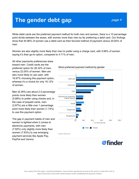### The gender debt gap

While debit cards are the preferred payment method for both men and women, there is a 10 percentage point divide between the sexes, with women more than men by far preferring a debit card. Our findings show that 40.96% of women use a debit card as their favored method of payment versus 30.92% of men.

Women are also slightly more likely than men to prefer using a charge card, with 5.66% of women saying it's their go-to option, compared to 4.71% of men.

All other payments preferences skew toward men. Credit cards are the preferred option for 26.32% of men, versus 22.00% of women. Men are also more likely to use cash, with 18.97% choosing this payment option, whereas it's a choice for only 16.12% of women.

Men (8.39%) are about 2.5 percentage points more likely than women (5.88%) to prefer using checks and, in the case of prepaid cards, men (2.87%) are a little over 1 percentage point more likely than women (1.74%) to use this payment option.

The gap in payment habits of men and women is tightest when it comes to electronic payments, with men (7.82%) only slightly more likely than women (7.63%) to use emerging payment services like Apple Pay, PayPal and Venmo.

#### Most preferred payment method by gender



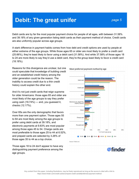# **Debit: The great unifer**

Debit cards are by far the most popular payment choice for people of all ages, with between 31.58% and 39.18% of any given generation listing debit cards as their payment method of choice. Credit cards are also uniformly popular across age groups.

A stark difference in payment habits comes from how debt and credit options are used by people at either extreme of the age groups. While those ages 65 or older are most likely to prefer a credit card (25.66%), they're least likely to favor using a debit card (31.58%). And while 37.58% of those ages 18 to 24 are more likely to say they'd use a debit card, they're the group least likely to favor a credit card (18.18%).

Reasons for this divergence are unclear, but one could speculate that knowledge of building credit and an established credit history among the older generation could be the reason. The inability to access credit due to a thin credit history could explain the other end.

And it's not just credit cards that reign supreme for older Americans: those ages 65 and older are most likely of the age groups to say they prefer using cash (19.74%) — and, you guessed it, checks (12.17%).

Over 65s are the only demographic that favors more than one payment option. Those ages 55 to 64 are most likely among the age groups to prefer using debit cards at 39.18%, and electronic payments at 9.83% are most popular among those ages 45 to 54. Charge cards are most preferable to those ages 25 to 44 at 6.52%, and prepaid cards are selected by 3.26% of those ages 35 to 44 as a top choice.

Those ages 18 to 24 don't appear to have any distinguishing payment preference among the age groups.

Most preferred payment method by age



Source: Finder.com

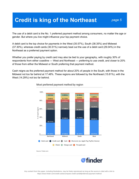# **Credit is king of the Northeast**

The use of a debit card is the No. 1 preferred payment method among consumers, no matter the age or gender. But where you live might influence your top payment choice.

A debit card is the top choice for payments in the West (35.57%), South (38.35%) and Midwest (37.30%), whereas credit cards (30.51%) narrowly beat out the use of a debit card (29.04%) in the Northeast as a preferred payment option.

Whether you prefer paying by credit card may also be tied to your geography, with roughly 30% of respondents from either coastline — West and Northeast — preferring to use credit, and closer to 20% of those from either the Midwest or South preferring that payment method.

Cash reigns as the preferred payment method for about 20% of people in the South, with those in the Midwest not too far behind at 17.48%. These regions are followed by the Northeast (15.81%), with the West (14.29%) not too far behind.



#### Most preferred payment method by region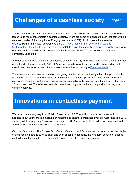### **Challenges of a cashless society**

The likelihood of a new financial reality is closer than it has ever been. The coronavirus pandemic has forced us to really contemplate a cashless society. There are some challenges though that come with a new world order of this magnitude. Roughly one quarter (25%) of US households are either underbanked or unbanked, according to the 2017 FDIC National Survey of [Unbanked](https://www.fdic.gov/householdsurvey/) and [Underbanked](https://www.fdic.gov/householdsurvey/) Households. So, if we were to switch to a cashless society tomorrow, roughly one-quarter of American households would be left in the lurch, especially the 6.5% of households that are completely unbanked.

Another possible issue with going cashless is security. In 2018, Americans lost an estimated \$1.8 billion at the hands of fraudsters, with 14% of Americans who have at least one credit card reporting that they'd been on the wrong end of a fraudulent transaction, according to Finder [research](https://www.finder.com/fraud-nation-the-numbers-behind-credit-card-fraud).

There have also been issues raised on how going cashless disproportionally affects the poor, elderly and the homeless. While credit cards are the cashless payment options we know, digital banks and electronic payments are those we are just becoming familiar with. A survey conducted by Finder.com in 2019 showed that 73% of Americans who do not bank digitally cite being happy with how they are currently banking.

### **Innovations in contactless payment**

We have come a long way from Mobil's Speedpass in 97. The ability to make purchases without needing to put your card in a machine or handing it to another person has evolved. According to a 2018 study by AT Kearney, only 3% of cards in use in the USA were contactless. When we compare that to South Korea's 96% we are looking at a huge gap.

Outside of cards apps like Google Pay, Venmo, Cashapp, and Zelle are becoming more popular. While original recipe methods such as cash and even check are not dead, the long term benefits of offering contactless options might make these antiquated forms of payment endangered.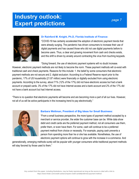### **Industry outlook: Expert predictions**



#### **Dr Rainford M. Knight, Ph.D, Florida Institute of Finance:**

"COVID-19 has certainly accelerated the adoption of electronic payment trends that were already surging. The pandemic has driven consumers to increase their use of digital payments and has caused those who did not use digital payments before to become users. Thus, a clear and growing movement from cash and checks exists, and this shift is driven by anxiety around contracting the virus from touching keypads.

"Going forward, the use of electronic payment systems will no doubt increase.

However, electronic payment methods are not likely to become the norm. These payment methods will co-exist with traditional cash and check payments. Reasons for this include: 1. the belief by some consumers that electronic payment methods are not secure and 2. digital exclusion: According to a Federal Reserve report prior to the pandemic, 17% of US households (21.87 million) were financially or digitally excluded from using electronic payments. According to the survey, about 71% (12% of the 17%) did not have electronic access but had a bank account or prepaid cards. 3% of the 17% did not have Internet access and a bank account and 2% of the 17% did not have a bank account but had Internet access.

"There is no question that electronic payments will become and are becoming more a part of all our lives. However, not all of us will be active participants in the increasing trend to pay electronically."



#### **Barbara Weltman, President of Big Ideas for Small Business:**

"From a small business perspective, the more types of payment method accepted by a merchant or service provider, the wider the customer base can be. While data show debit and credit cards are the preferred payment method, not all consumers use them, prefer them, or even have them. For some, cash will continue to be a preferred payment method from choice or necessity. For example, paying cash prevents a person from spending more than he or she has available. Nonetheless, the use of electronic payment options will continue to grow with the increase in e-commerce. And

generationally, emerging methods surely will be popular with younger consumers while traditional payment methods will stay favored by those used to them."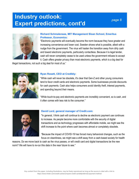### **Industry outlook: Expert predictions, cont'd**

#### page 8



#### **Richard Schmalensee, MIT Management Sloan School, Emeritus Professor, Economics:**

"Electronic payments will eventually become the norm because they have greater and increasing convenience and lower cost. Sweden shows what is possible, albeit with a nudge from the government. The virus will hasten the transition away from dirty cash and toward electronic payments, particularly contactless. Because it is legal tender, cash will never completely cease to be used unless the government refuses to accept it. Cash offers greater privacy than most electronic payments, which is a big deal for

illegal transactions, not such a big deal for most of us."



#### **Ryan Rosett, CEO at Credibly:**

"While cash will never be obsolete, it's clear that Gen-Z and other young consumers tend to favor credit cards and electronic payments. Some businesses provide discounts for cash payments. Cash also helps consumers avoid identity theft, interest payments, and spending beyond their means.

"While touch-to-pay and electronic payments are incredibly convenient, so is cash, and it often comes with less risk to the consumer."



#### **David Lord, general manager of Credit.com:**

"In general, I think cash will continue to decline as electronic payment use continues to increase. As people become more comfortable with the security of digital transactions and as technology progresses with affordable mobile, we might see the shift increase to the point where cash becomes almost or completely obsolete.

"Because the impact of COVID-19 has forced many behavioral changes, such as the focus on cleanliness, we might see a shift away from a cash-based society for health

reasons. Do we move back to cash as the virus passes, or will credit card and digital transactions be the new norm? We will have to re-run this data in the near future to see."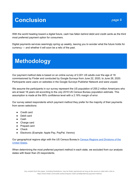## **Conclusion**

With the world heading toward a digital future, cash has fallen behind debit and credit cards as the third most preferred payment option for consumers.

Digital payments services seemingly spring up weekly, leaving you to wonder what the future holds for currency — and whether it will soon be a relic of the past.

## **Methodology**

Our payment method data is based on an online survey of 2,001 US adults over the age of 18 commissioned by Finder and conducted by Google Surveys from June 22, 2020, to June 26, 2020. Participants were users on websites in the Google Surveys Publisher Network and were unpaid.

We assume the participants in our survey represent the US population of 255.2 million Americans who are at least 18 years old according to the July 2019 US Census Bureau population estimate. This assumption is made at the 95% confidence level with a 2.19% margin of error.

Our survey asked respondents which payment method they prefer for the majority of their payments from seven selections:

- Credit card
- Debit card
- Cash
- Charge card
- Prepaid card
- Check
- Electronic (Example: Apple Pay, PayPal, Venmo)

Our geographical regions align with the US Census Bureau's Census Regions and [Divisions](https://www2.census.gov/geo/pdfs/maps-data/maps/reference/us_regdiv.pdf) of the [United](https://www2.census.gov/geo/pdfs/maps-data/maps/reference/us_regdiv.pdf) States.

When determining the most preferred payment method in each state, we excluded from our analysis states with fewer than 25 respondents.